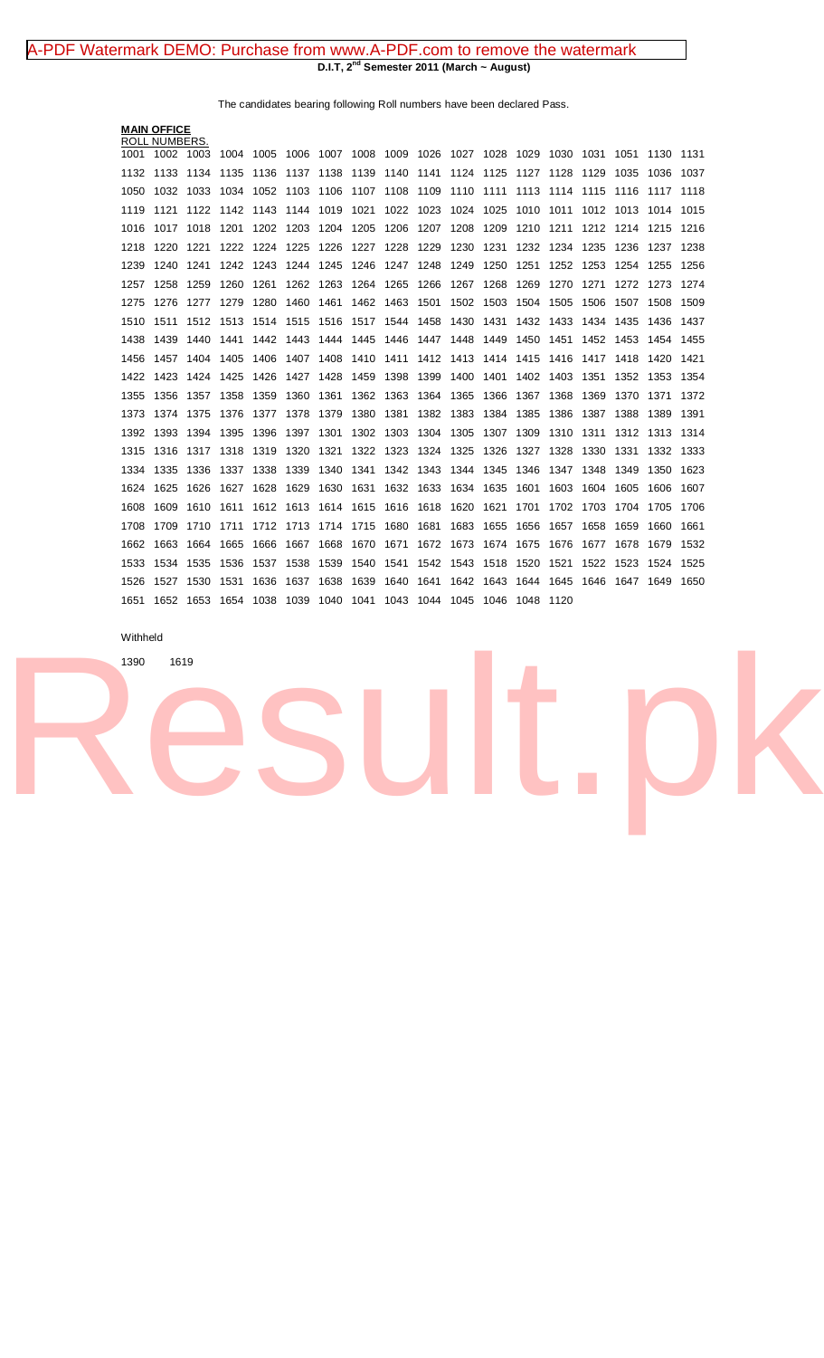## **D.I.T, 2nd Semester 2011 (March ~ August)** [A-PDF Watermark DEMO: Purchase from www.A-PDF.com to remove the watermark](http://www.a-pdf.com/?wm-demo)

The candidates bearing following Roll numbers have been declared Pass.

|      |      |                                                                      |              |      |                                     |                                                                             |                                                                                                                                    |                                                                                                                                                  |                                                                                                                                      |                      |                                                                                                                                                                                  |                                                                                                                                                  |                                           |                                   | 1130                                                                                                                                   | 1131                                     |
|------|------|----------------------------------------------------------------------|--------------|------|-------------------------------------|-----------------------------------------------------------------------------|------------------------------------------------------------------------------------------------------------------------------------|--------------------------------------------------------------------------------------------------------------------------------------------------|--------------------------------------------------------------------------------------------------------------------------------------|----------------------|----------------------------------------------------------------------------------------------------------------------------------------------------------------------------------|--------------------------------------------------------------------------------------------------------------------------------------------------|-------------------------------------------|-----------------------------------|----------------------------------------------------------------------------------------------------------------------------------------|------------------------------------------|
|      |      |                                                                      |              |      |                                     |                                                                             |                                                                                                                                    |                                                                                                                                                  |                                                                                                                                      |                      |                                                                                                                                                                                  | 1128                                                                                                                                             |                                           |                                   | 1036                                                                                                                                   | 1037                                     |
| 1032 | 1033 | 1034                                                                 |              |      |                                     |                                                                             | 1108                                                                                                                               | 1109                                                                                                                                             | 1110                                                                                                                                 |                      | 1113                                                                                                                                                                             |                                                                                                                                                  |                                           |                                   | 1117                                                                                                                                   | 1118                                     |
| 1121 | 1122 |                                                                      |              |      |                                     |                                                                             |                                                                                                                                    |                                                                                                                                                  |                                                                                                                                      |                      | 1010                                                                                                                                                                             | 1011                                                                                                                                             |                                           |                                   | 1014                                                                                                                                   | 1015                                     |
| 1017 | 1018 | 1201                                                                 |              |      |                                     |                                                                             | 1206                                                                                                                               | 1207                                                                                                                                             | 1208                                                                                                                                 | 1209                 | 1210                                                                                                                                                                             | 1211                                                                                                                                             |                                           |                                   | 1215                                                                                                                                   | 1216                                     |
| 1220 | 1221 | 1222                                                                 |              |      |                                     |                                                                             | 1228                                                                                                                               | 1229                                                                                                                                             | 1230                                                                                                                                 | 1231                 | 1232                                                                                                                                                                             |                                                                                                                                                  |                                           |                                   | 1237                                                                                                                                   | 1238                                     |
| 1240 | 1241 |                                                                      |              |      |                                     |                                                                             |                                                                                                                                    |                                                                                                                                                  |                                                                                                                                      |                      | 1251                                                                                                                                                                             |                                                                                                                                                  |                                           |                                   | 1255                                                                                                                                   | 1256                                     |
| 1258 | 1259 | 1260                                                                 | 1261         |      |                                     |                                                                             |                                                                                                                                    | 1266                                                                                                                                             |                                                                                                                                      |                      | 1269                                                                                                                                                                             | 1270                                                                                                                                             | 1271                                      | 1272                              | 1273                                                                                                                                   | 1274                                     |
| 1276 | 1277 | 1279                                                                 | 1280         | 1460 |                                     |                                                                             |                                                                                                                                    | 1501                                                                                                                                             |                                                                                                                                      |                      | 1504                                                                                                                                                                             | 1505                                                                                                                                             | 1506                                      | 1507                              | 1508                                                                                                                                   | 1509                                     |
| 1511 | 1512 | 1513                                                                 |              |      |                                     |                                                                             |                                                                                                                                    | 1458                                                                                                                                             | 1430                                                                                                                                 | 1431                 | 1432                                                                                                                                                                             | 1433                                                                                                                                             |                                           |                                   | 1436                                                                                                                                   | 1437                                     |
| 1439 | 1440 | 1441                                                                 |              |      |                                     |                                                                             |                                                                                                                                    |                                                                                                                                                  | 1448                                                                                                                                 |                      | 1450                                                                                                                                                                             | 1451                                                                                                                                             |                                           |                                   | 1454 1455                                                                                                                              |                                          |
| 1457 | 1404 | 1405                                                                 |              |      |                                     |                                                                             |                                                                                                                                    |                                                                                                                                                  |                                                                                                                                      |                      |                                                                                                                                                                                  |                                                                                                                                                  |                                           |                                   | 1420                                                                                                                                   | 1421                                     |
| 1423 | 1424 | 1425                                                                 | 1426         |      |                                     |                                                                             | 1398                                                                                                                               | 1399                                                                                                                                             | 1400                                                                                                                                 | 1401                 | 1402                                                                                                                                                                             |                                                                                                                                                  | 1351                                      | 1352                              | 1353                                                                                                                                   | 1354                                     |
| 1356 | 1357 | 1358                                                                 | 1359         | 1360 |                                     |                                                                             |                                                                                                                                    | 1364                                                                                                                                             | 1365                                                                                                                                 |                      |                                                                                                                                                                                  | 1368                                                                                                                                             | 1369                                      |                                   |                                                                                                                                        | 1372                                     |
| 1374 | 1375 | 1376                                                                 | 1377         | 1378 |                                     | 1380                                                                        |                                                                                                                                    | 1382                                                                                                                                             |                                                                                                                                      | 1384                 | 1385                                                                                                                                                                             | 1386                                                                                                                                             | 1387                                      | 1388                              | 1389                                                                                                                                   | 1391                                     |
| 1393 | 1394 | 1395                                                                 | 1396         |      |                                     |                                                                             |                                                                                                                                    | 1304                                                                                                                                             | 1305                                                                                                                                 | 1307                 | 1309                                                                                                                                                                             | 1310                                                                                                                                             |                                           | 1312                              | 1313                                                                                                                                   | 1314                                     |
| 1316 | 1317 | 1318                                                                 | 1319         | 1320 | 1321                                | 1322                                                                        |                                                                                                                                    |                                                                                                                                                  | 1325                                                                                                                                 |                      |                                                                                                                                                                                  | 1328                                                                                                                                             | 1330                                      | 1331                              | 1332                                                                                                                                   | 1333                                     |
| 1335 | 1336 | 1337                                                                 | 1338         | 1339 |                                     | 1341                                                                        |                                                                                                                                    |                                                                                                                                                  |                                                                                                                                      |                      | 1346                                                                                                                                                                             | 1347                                                                                                                                             |                                           | 1349                              | 1350                                                                                                                                   | 1623                                     |
| 1625 | 1626 | 1627                                                                 | 1628         | 1629 |                                     |                                                                             |                                                                                                                                    |                                                                                                                                                  |                                                                                                                                      |                      | 1601                                                                                                                                                                             | 1603                                                                                                                                             |                                           |                                   | 1606                                                                                                                                   | 1607                                     |
| 1609 | 1610 | 1611                                                                 |              |      |                                     |                                                                             | 1616                                                                                                                               | 1618                                                                                                                                             | 1620                                                                                                                                 | 1621                 | 1701                                                                                                                                                                             | 1702                                                                                                                                             |                                           | 1704                              | 1705                                                                                                                                   | 1706                                     |
| 1709 | 1710 |                                                                      |              |      |                                     |                                                                             |                                                                                                                                    | 1681                                                                                                                                             | 1683                                                                                                                                 | 1655                 | 1656                                                                                                                                                                             | 1657                                                                                                                                             | 1658                                      | 1659                              | 1660                                                                                                                                   | 1661                                     |
| 1663 | 1664 | 1665                                                                 | 1666         | 1667 | 1668                                | 1670                                                                        |                                                                                                                                    |                                                                                                                                                  | 1673                                                                                                                                 |                      | 1675                                                                                                                                                                             | 1676                                                                                                                                             | 1677                                      | 1678                              | 1679                                                                                                                                   | 1532                                     |
| 1534 | 1535 | 1536                                                                 | 1537         | 1538 | 1539                                | 1540                                                                        |                                                                                                                                    |                                                                                                                                                  |                                                                                                                                      |                      | 1520                                                                                                                                                                             | 1521                                                                                                                                             | 1522                                      |                                   | 1524                                                                                                                                   | 1525                                     |
| 1527 | 1530 | 1531                                                                 | 1636         | 1637 | 1638                                | 1639                                                                        | 1640                                                                                                                               | 1641                                                                                                                                             |                                                                                                                                      |                      |                                                                                                                                                                                  |                                                                                                                                                  |                                           |                                   | 1649                                                                                                                                   | 1650                                     |
|      |      |                                                                      |              |      |                                     |                                                                             |                                                                                                                                    |                                                                                                                                                  |                                                                                                                                      |                      |                                                                                                                                                                                  |                                                                                                                                                  |                                           |                                   |                                                                                                                                        |                                          |
|      |      | <b>MAIN OFFICE</b><br><b>ROLL NUMBERS.</b><br>1002 1003<br>1133 1134 | 1135<br>1711 | 1136 | 1202 1203<br>1224 1225<br>1514 1515 | 1226<br>1262 1263<br>1461<br>1427 1428<br>1361<br>1379<br>1397 1301<br>1340 | 1137 1138 1139<br>1052 1103 1106 1107<br>1142 1143 1144 1019 1021<br>1204 1205<br>1227<br>1459<br>1630 1631<br>1612 1613 1614 1615 | 1140<br>1264 1265<br>1462 1463<br>1406 1407 1408 1410 1411<br>1362 1363<br>1381<br>1302 1303<br>1323<br>1712 1713 1714 1715 1680<br>1671<br>1541 | 1141<br>1022 1023<br>1242 1243 1244 1245 1246 1247 1248<br>1516 1517 1544<br>1442 1443 1444 1445 1446 1447<br>1342 1343<br>1632 1633 | 1383<br>1324<br>1672 | 1124 1125<br>1111<br>1024 1025<br>1249 1250<br>1267 1268<br>1502 1503<br>1449<br>1412 1413 1414<br>1366<br>1326<br>1344 1345<br>1634 1635<br>1674<br>1542 1543 1518<br>1642 1643 | 1004 1005 1006 1007 1008 1009 1026 1027 1028 1029<br>1127<br>1415<br>1367<br>1327<br>1652 1653 1654 1038 1039 1040 1041 1043 1044 1045 1046 1048 | 1234<br>1416<br>1403<br>1644 1645<br>1120 | 1252 1253<br>1311<br>1348<br>1703 | 1129 1035<br>1114 1115 1116<br>1012 1013<br>1212 1214<br>1235 1236<br>1254<br>1434 1435<br>1452 1453<br>1417 1418<br>1604 1605<br>1523 | 1030 1031 1051<br>1370 1371<br>1646 1647 |

## Withheld

[Result.pk](http://www.result.pk)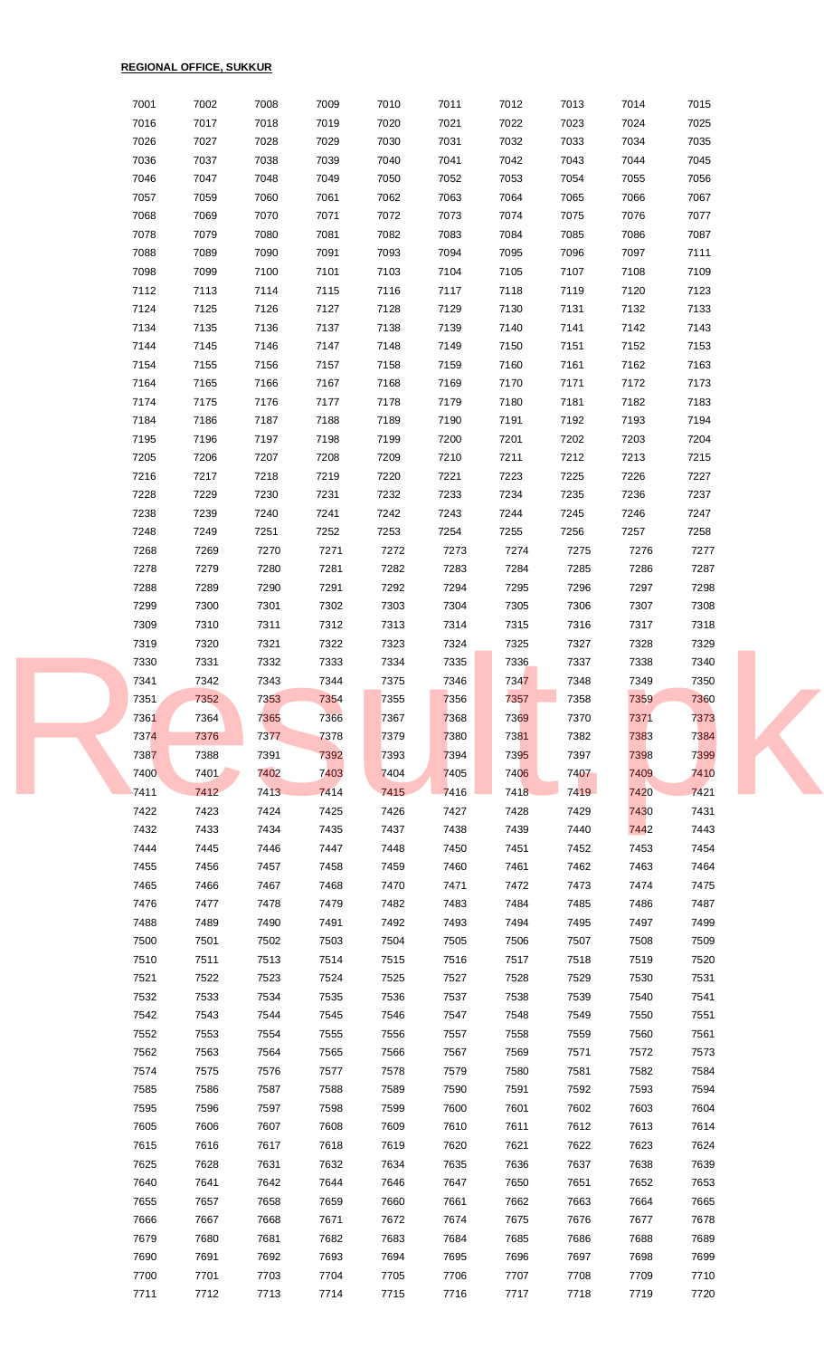| 7001         | 7002         | 7008         | 7009         | 7010         | 7011         | 7012         | 7013         | 7014         | 7015         |  |
|--------------|--------------|--------------|--------------|--------------|--------------|--------------|--------------|--------------|--------------|--|
| 7016         | 7017         | 7018         | 7019         | 7020         | 7021         | 7022         | 7023         | 7024         | 7025         |  |
| 7026         | 7027         | 7028         | 7029         | 7030         | 7031         | 7032         | 7033         | 7034         | 7035         |  |
| 7036         | 7037         | 7038         | 7039         | 7040         | 7041         | 7042         | 7043         | 7044         | 7045         |  |
| 7046         | 7047         | 7048         | 7049         | 7050         | 7052         | 7053         | 7054         | 7055         | 7056         |  |
| 7057         | 7059         | 7060         | 7061         | 7062         | 7063         | 7064         | 7065         | 7066         | 7067         |  |
| 7068         | 7069         | 7070         | 7071         | 7072         | 7073         | 7074         | 7075         | 7076         | 7077         |  |
| 7078         | 7079         | 7080         | 7081         | 7082         | 7083         | 7084         | 7085         | 7086         | 7087         |  |
| 7088         | 7089         | 7090         | 7091         | 7093         | 7094         | 7095         | 7096         | 7097         | 7111         |  |
| 7098         | 7099         | 7100         | 7101         | 7103         | 7104         | 7105         | 7107         | 7108         | 7109         |  |
| 7112         | 7113         | 7114         | 7115         | 7116         | 7117         | 7118         | 7119         | 7120         | 7123         |  |
| 7124         | 7125         | 7126         | 7127         | 7128         | 7129         | 7130         | 7131         | 7132         | 7133         |  |
| 7134         | 7135         | 7136         | 7137         | 7138         | 7139         | 7140         | 7141         | 7142         | 7143         |  |
| 7144         | 7145         | 7146         | 7147         | 7148         | 7149         | 7150         | 7151         | 7152         | 7153         |  |
| 7154<br>7164 | 7155<br>7165 | 7156<br>7166 | 7157<br>7167 | 7158<br>7168 | 7159<br>7169 | 7160<br>7170 | 7161<br>7171 | 7162<br>7172 | 7163<br>7173 |  |
| 7174         | 7175         | 7176         | 7177         | 7178         | 7179         | 7180         | 7181         | 7182         | 7183         |  |
| 7184         | 7186         | 7187         | 7188         | 7189         | 7190         | 7191         | 7192         | 7193         | 7194         |  |
| 7195         | 7196         | 7197         | 7198         | 7199         | 7200         | 7201         | 7202         | 7203         | 7204         |  |
| 7205         | 7206         | 7207         | 7208         | 7209         | 7210         | 7211         | 7212         | 7213         | 7215         |  |
| 7216         | 7217         | 7218         | 7219         | 7220         | 7221         | 7223         | 7225         | 7226         | 7227         |  |
| 7228         | 7229         | 7230         | 7231         | 7232         | 7233         | 7234         | 7235         | 7236         | 7237         |  |
| 7238         | 7239         | 7240         | 7241         | 7242         | 7243         | 7244         | 7245         | 7246         | 7247         |  |
| 7248         | 7249         | 7251         | 7252         | 7253         | 7254         | 7255         | 7256         | 7257         | 7258         |  |
| 7268         | 7269         | 7270         | 7271         | 7272         | 7273         | 7274         | 7275         | 7276         | 7277         |  |
| 7278         | 7279         | 7280         | 7281         | 7282         | 7283         | 7284         | 7285         | 7286         | 7287         |  |
| 7288         | 7289         | 7290         | 7291         | 7292         | 7294         | 7295         | 7296         | 7297         | 7298         |  |
| 7299         | 7300         | 7301         | 7302         | 7303         | 7304         | 7305         | 7306         | 7307         | 7308         |  |
| 7309         | 7310         | 7311         | 7312         | 7313         | 7314         | 7315         | 7316         | 7317         | 7318         |  |
| 7319         | 7320         | 7321         | 7322         | 7323         | 7324         | 7325         | 7327         | 7328         | 7329         |  |
| 7330         | 7331         | 7332         | 7333         | 7334         | 7335         | 7336         | 7337         | 7338         | 7340         |  |
| 7341         | 7342         | 7343         | 7344         | 7375         | 7346         | 7347         | 7348         | 7349         | 7350         |  |
| 7351         | 7352         | 7353         | 7354         | 7355         | 7356         | 7357         | 7358         | 7359         | 7360         |  |
| 7361         | 7364         | 7365         | 7366         | 7367         | 7368         | 7369         | 7370         | 7371         | 7373         |  |
| 7374         | 7376         | 7377         | 7378         | 7379         | 7380         | 7381         | 7382         | 7383         | 7384         |  |
| 7387         | 7388         | 7391         | 7392         | 7393         | 7394         | 7395         | 7397         | 7398         | 7399         |  |
| 7400         | 7401         | 7402         | 7403         | 7404         | 7405         | 7406         | 7407         | 7409         | 7410         |  |
| 7411<br>7422 | 7412<br>7423 | 7413<br>7424 | 7414<br>7425 | 7415<br>7426 | 7416<br>7427 | 7418<br>7428 | 7419<br>7429 | 7420<br>7430 | 7421<br>7431 |  |
| 7432         | 7433         | 7434         | 7435         | 7437         | 7438         | 7439         | 7440         | 7442         | 7443         |  |
| 7444         | 7445         | 7446         | 7447         | 7448         | 7450         | 7451         | 7452         | 7453         | 7454         |  |
| 7455         | 7456         | 7457         | 7458         | 7459         | 7460         | 7461         | 7462         | 7463         | 7464         |  |
| 7465         | 7466         | 7467         | 7468         | 7470         | 7471         | 7472         | 7473         | 7474         | 7475         |  |
| 7476         | 7477         | 7478         | 7479         | 7482         | 7483         | 7484         | 7485         | 7486         | 7487         |  |
| 7488         | 7489         | 7490         | 7491         | 7492         | 7493         | 7494         | 7495         | 7497         | 7499         |  |
| 7500         | 7501         | 7502         | 7503         | 7504         | 7505         | 7506         | 7507         | 7508         | 7509         |  |
| 7510         | 7511         | 7513         | 7514         | 7515         | 7516         | 7517         | 7518         | 7519         | 7520         |  |
| 7521         | 7522         | 7523         | 7524         | 7525         | 7527         | 7528         | 7529         | 7530         | 7531         |  |
| 7532         | 7533         | 7534         | 7535         | 7536         | 7537         | 7538         | 7539         | 7540         | 7541         |  |
| 7542         | 7543         | 7544         | 7545         | 7546         | 7547         | 7548         | 7549         | 7550         | 7551         |  |
| 7552         | 7553         | 7554         | 7555         | 7556         | 7557         | 7558         | 7559         | 7560         | 7561         |  |
| 7562         | 7563         | 7564         | 7565         | 7566         | 7567         | 7569         | 7571         | 7572         | 7573         |  |
| 7574         | 7575         | 7576         | 7577         | 7578         | 7579         | 7580         | 7581         | 7582         | 7584         |  |
| 7585         | 7586         | 7587         | 7588         | 7589         | 7590         | 7591         | 7592         | 7593         | 7594         |  |
| 7595         | 7596         | 7597         | 7598         | 7599         | 7600         | 7601         | 7602         | 7603         | 7604         |  |
| 7605         | 7606         | 7607         | 7608         | 7609         | 7610         | 7611         | 7612         | 7613         | 7614         |  |
| 7615         | 7616         | 7617         | 7618         | 7619         | 7620         | 7621         | 7622         | 7623         | 7624         |  |
| 7625         | 7628         | 7631         | 7632         | 7634         | 7635         | 7636         | 7637         | 7638         | 7639         |  |
| 7640         | 7641         | 7642         | 7644         | 7646         | 7647         | 7650         | 7651         | 7652         | 7653         |  |
| 7655<br>7666 | 7657<br>7667 | 7658<br>7668 | 7659<br>7671 | 7660<br>7672 | 7661<br>7674 | 7662<br>7675 | 7663<br>7676 | 7664<br>7677 | 7665<br>7678 |  |
| 7679         | 7680         | 7681         | 7682         | 7683         | 7684         | 7685         | 7686         | 7688         | 7689         |  |
| 7690         | 7691         | 7692         | 7693         | 7694         | 7695         | 7696         | 7697         | 7698         | 7699         |  |
| 7700         | 7701         | 7703         | 7704         | 7705         | 7706         | 7707         | 7708         | 7709         | 7710         |  |
| 7711         | 7712         | 7713         | 7714         | 7715         | 7716         | 7717         | 7718         | 7719         | 7720         |  |
|              |              |              |              |              |              |              |              |              |              |  |

**REGIONAL OFFICE, SUKKUR**